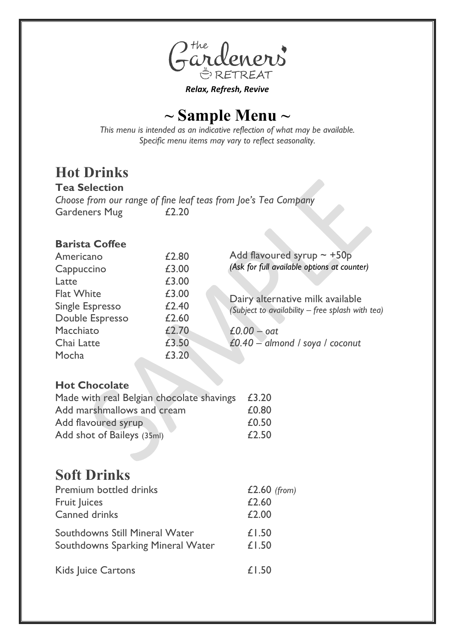

*Relax, Refresh, Revive*

## **~ Sample Menu ~**

*This menu is intended as an indicative reflection of what may be available. Specific menu items may vary to reflect seasonality.* 

# **Hot Drinks**

**Tea Selection** *Choose from our range of fine leaf teas from Joe's Tea Company* Gardeners Mug £2.20

#### **Barista Coffee**

| Americano         | £2.80 | Add flavoured syrup $\sim +50p$                  |
|-------------------|-------|--------------------------------------------------|
| Cappuccino        | £3.00 | (Ask for full available options at counter)      |
| Latte             | £3.00 |                                                  |
| <b>Flat White</b> | £3.00 | Dairy alternative milk available                 |
| Single Espresso   | £2.40 | (Subject to availability - free splash with tea) |
| Double Espresso   | £2.60 |                                                  |
| Macchiato         | £2.70 | $£0.00 - oat$                                    |
| Chai Latte        | £3.50 | £0.40 - almond / soya / coconut                  |
| Mocha             | £3.20 |                                                  |
|                   |       |                                                  |

#### **Hot Chocolate**

| Made with real Belgian chocolate shavings | £3.20 |
|-------------------------------------------|-------|
| Add marshmallows and cream                | £0.80 |
| Add flavoured syrup                       | £0.50 |
| Add shot of Baileys (35ml)                | £2.50 |

### **Soft Drinks**

| <b>Premium bottled drinks</b>     | $£2.60$ (from) |
|-----------------------------------|----------------|
| Fruit Juices                      | £2.60          |
| <b>Canned drinks</b>              | £2.00          |
| Southdowns Still Mineral Water    | £1.50          |
| Southdowns Sparking Mineral Water | £1.50          |
| <b>Kids Juice Cartons</b>         | £1.50          |